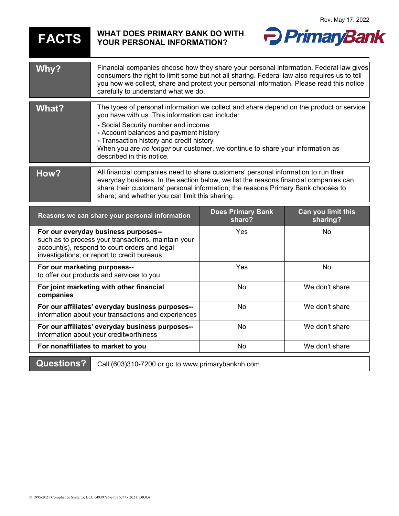## **FACTS WHAT DOES PRIMARY BANK DO WITH YOUR PERSONAL INFORMATION?**



| Why?                                                                                                                                                                                        | Financial companies choose how they share your personal information. Federal law gives<br>consumers the right to limit some but not all sharing. Federal law also requires us to tell<br>you how we collect, share and protect your personal information. Please read this notice<br>carefully to understand what we do.                                                              |                                    |                                |
|---------------------------------------------------------------------------------------------------------------------------------------------------------------------------------------------|---------------------------------------------------------------------------------------------------------------------------------------------------------------------------------------------------------------------------------------------------------------------------------------------------------------------------------------------------------------------------------------|------------------------------------|--------------------------------|
| <b>What?</b>                                                                                                                                                                                | The types of personal information we collect and share depend on the product or service<br>you have with us. This information can include:<br>- Social Security number and income<br>- Account balances and payment history<br>- Transaction history and credit history<br>When you are no longer our customer, we continue to share your information as<br>described in this notice. |                                    |                                |
| How?                                                                                                                                                                                        | All financial companies need to share customers' personal information to run their<br>everyday business. In the section below, we list the reasons financial companies can<br>share their customers' personal information; the reasons Primary Bank chooses to<br>share; and whether you can limit this sharing.                                                                      |                                    |                                |
| Reasons we can share your personal information                                                                                                                                              |                                                                                                                                                                                                                                                                                                                                                                                       | <b>Does Primary Bank</b><br>share? | Can you limit this<br>sharing? |
| For our everyday business purposes--<br>such as to process your transactions, maintain your<br>account(s), respond to court orders and legal<br>investigations, or report to credit bureaus |                                                                                                                                                                                                                                                                                                                                                                                       | Yes                                | <b>No</b>                      |
| For our marketing purposes--<br>to offer our products and services to you                                                                                                                   |                                                                                                                                                                                                                                                                                                                                                                                       | Yes                                | <b>No</b>                      |
| For joint marketing with other financial<br>companies                                                                                                                                       |                                                                                                                                                                                                                                                                                                                                                                                       | <b>No</b>                          | We don't share                 |
| For our affiliates' everyday business purposes--<br>information about your transactions and experiences                                                                                     |                                                                                                                                                                                                                                                                                                                                                                                       | <b>No</b>                          | We don't share                 |
| For our affiliates' everyday business purposes--<br>information about your creditworthiness                                                                                                 |                                                                                                                                                                                                                                                                                                                                                                                       | No                                 | We don't share                 |
| For nonaffiliates to market to you                                                                                                                                                          |                                                                                                                                                                                                                                                                                                                                                                                       | <b>No</b>                          | We don't share                 |
| <b>Questions?</b><br>Call (603)310-7200 or go to www.primarybanknh.com                                                                                                                      |                                                                                                                                                                                                                                                                                                                                                                                       |                                    |                                |